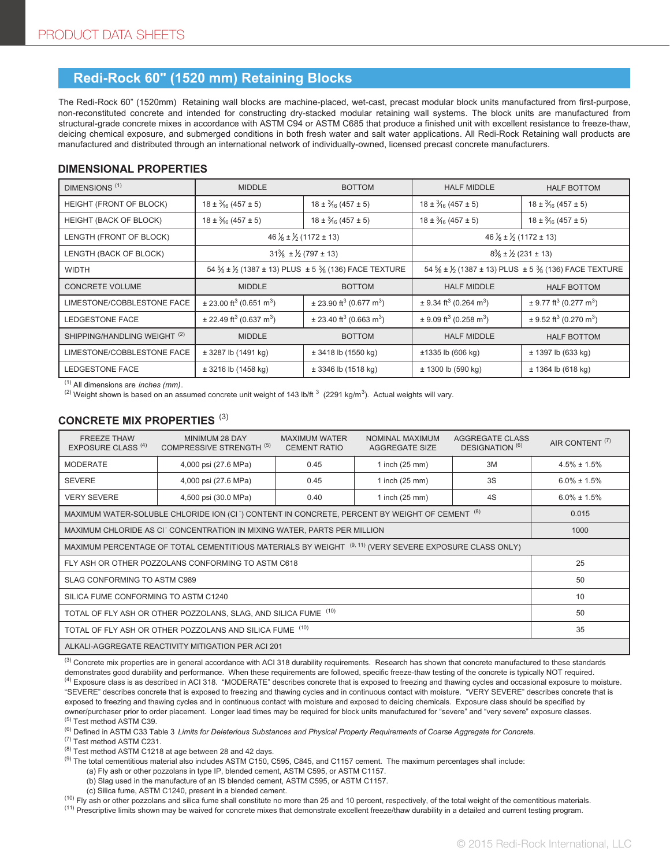# **Redi-Rock 60" (1520 mm) Retaining Blocks**

The Redi-Rock 60" (1520mm) Retaining wall blocks are machine-placed, wet-cast, precast modular block units manufactured from first-purpose, non-reconstituted concrete and intended for constructing dry-stacked modular retaining wall systems. The block units are manufactured from structural-grade concrete mixes in accordance with ASTM C94 or ASTM C685 that produce a finished unit with excellent resistance to freeze-thaw, deicing chemical exposure, and submerged conditions in both fresh water and salt water applications. All Redi-Rock Retaining wall products are manufactured and distributed through an international network of individually-owned, licensed precast concrete manufacturers.

### **DIMENSIONAL PROPERTIES**

| DIMENSIONS <sup>(1)</sup>               | <b>MIDDLE</b>                                        | <b>BOTTOM</b>                                       | <b>HALF MIDDLE</b>                                   | <b>HALF BOTTOM</b>                                 |  |
|-----------------------------------------|------------------------------------------------------|-----------------------------------------------------|------------------------------------------------------|----------------------------------------------------|--|
| HEIGHT (FRONT OF BLOCK)                 | $18 \pm \frac{3}{16} (457 \pm 5)$                    | $18 \pm \frac{3}{16} (457 \pm 5)$                   | $18 \pm \frac{3}{16} (457 \pm 5)$                    | $18 \pm \frac{3}{16} (457 \pm 5)$                  |  |
| HEIGHT (BACK OF BLOCK)                  | $18 \pm \frac{3}{16} (457 \pm 5)$                    | $18 \pm \frac{3}{16} (457 \pm 5)$                   | $18 \pm \frac{3}{16} (457 \pm 5)$                    | $18 \pm \frac{3}{16} (457 \pm 5)$                  |  |
| LENGTH (FRONT OF BLOCK)                 | 46 $\frac{1}{8}$ ± $\frac{1}{2}$ (1172 ± 13)         |                                                     | 46 $\frac{1}{8}$ ± $\frac{1}{2}$ (1172 ± 13)         |                                                    |  |
| LENGTH (BACK OF BLOCK)                  | $31\% \pm \frac{1}{2} (797 \pm 13)$                  |                                                     | $8\% \pm \frac{1}{2}$ (231 ± 13)                     |                                                    |  |
| <b>WIDTH</b>                            | 54 % ± 1/2 (1387 ± 13) PLUS ± 5 % (136) FACE TEXTURE |                                                     | 54 % ± 1/2 (1387 ± 13) PLUS ± 5 % (136) FACE TEXTURE |                                                    |  |
| <b>CONCRETE VOLUME</b>                  | <b>MIDDLE</b>                                        | <b>BOTTOM</b>                                       | <b>HALF MIDDLE</b>                                   | <b>HALF BOTTOM</b>                                 |  |
| LIMESTONE/COBBLESTONE FACE              | $\pm$ 23.00 ft <sup>3</sup> (0.651 m <sup>3</sup> )  | $\pm$ 23.90 ft <sup>3</sup> (0.677 m <sup>3</sup> ) | $\pm$ 9.34 ft <sup>3</sup> (0.264 m <sup>3</sup> )   | $\pm$ 9.77 ft <sup>3</sup> (0.277 m <sup>3</sup> ) |  |
| LEDGESTONE FACE                         | $\pm$ 22.49 ft <sup>3</sup> (0.637 m <sup>3</sup> )  | $\pm$ 23.40 ft <sup>3</sup> (0.663 m <sup>3</sup> ) | $\pm$ 9.09 ft <sup>3</sup> (0.258 m <sup>3</sup> )   | $\pm$ 9.52 ft <sup>3</sup> (0.270 m <sup>3</sup> ) |  |
| SHIPPING/HANDLING WEIGHT <sup>(2)</sup> | <b>MIDDLE</b>                                        | <b>BOTTOM</b>                                       | <b>HALF MIDDLE</b>                                   | <b>HALF BOTTOM</b>                                 |  |
| LIMESTONE/COBBLESTONE FACE              | $± 3287$ lb (1491 kg)                                | $± 3418$ lb (1550 kg)                               | ±1335 lb (606 kg)                                    | ± 1397 lb (633 kg)                                 |  |
| LEDGESTONE FACE                         | $\pm$ 3216 lb (1458 kg)                              | $\pm$ 3346 lb (1518 kg)                             | $± 1300$ lb (590 kg)                                 | ± 1364 lb (618 kg)                                 |  |

(1) All dimensions are *inches (mm)*.

<sup>(2)</sup> Weight shown is based on an assumed concrete unit weight of 143 lb/ft  $^3$  (2291 kg/m $^3$ ). Actual weights will vary.

## **CONCRETE MIX PROPERTIES** (3)

| <b>FREEZE THAW</b><br><b>EXPOSURE CLASS (4)</b>                                                                   | MINIMUM 28 DAY<br>COMPRESSIVE STRENGTH (5) | <b>MAXIMUM WATER</b><br><b>CEMENT RATIO</b> | NOMINAL MAXIMUM<br>AGGREGATE SIZE | <b>AGGREGATE CLASS</b><br>DESIGNATION <sup>(6)</sup> | AIR CONTENT <sup>(7)</sup> |  |  |
|-------------------------------------------------------------------------------------------------------------------|--------------------------------------------|---------------------------------------------|-----------------------------------|------------------------------------------------------|----------------------------|--|--|
| <b>MODERATE</b>                                                                                                   | 4,000 psi (27.6 MPa)                       | 0.45                                        | 1 inch $(25$ mm $)$               | 3M                                                   | $4.5\% \pm 1.5\%$          |  |  |
| <b>SEVERE</b>                                                                                                     | 4,000 psi (27.6 MPa)                       | 0.45                                        | 3S<br>1 inch $(25 \text{ mm})$    |                                                      | $6.0\% \pm 1.5\%$          |  |  |
| <b>VERY SEVERE</b>                                                                                                | 4,500 psi (30.0 MPa)                       | 0.40                                        | 1 inch (25 mm)                    | 4S                                                   | $6.0\% \pm 1.5\%$          |  |  |
| MAXIMUM WATER-SOLUBLE CHLORIDE ION (CI ) CONTENT IN CONCRETE, PERCENT BY WEIGHT OF CEMENT (8)                     | 0.015                                      |                                             |                                   |                                                      |                            |  |  |
| MAXIMUM CHLORIDE AS CI <sup>-</sup> CONCENTRATION IN MIXING WATER, PARTS PER MILLION                              | 1000                                       |                                             |                                   |                                                      |                            |  |  |
| MAXIMUM PERCENTAGE OF TOTAL CEMENTITIOUS MATERIALS BY WEIGHT <sup>(9, 11)</sup> (VERY SEVERE EXPOSURE CLASS ONLY) |                                            |                                             |                                   |                                                      |                            |  |  |
| FLY ASH OR OTHER POZZOLANS CONFORMING TO ASTM C618                                                                | 25                                         |                                             |                                   |                                                      |                            |  |  |
| SLAG CONFORMING TO ASTM C989                                                                                      | 50                                         |                                             |                                   |                                                      |                            |  |  |
| SILICA FUME CONFORMING TO ASTM C1240                                                                              | 10                                         |                                             |                                   |                                                      |                            |  |  |
| TOTAL OF FLY ASH OR OTHER POZZOLANS, SLAG, AND SILICA FUME (10)                                                   | 50                                         |                                             |                                   |                                                      |                            |  |  |
| TOTAL OF FLY ASH OR OTHER POZZOLANS AND SILICA FUME (10)                                                          | 35                                         |                                             |                                   |                                                      |                            |  |  |
| ALKALI-AGGREGATE REACTIVITY MITIGATION PER ACI 201                                                                |                                            |                                             |                                   |                                                      |                            |  |  |

 $^{(3)}$  Concrete mix properties are in general accordance with ACI 318 durability requirements. Research has shown that concrete manufactured to these standards demonstrates good durability and performance. When these requirements are followed, specific freeze-thaw testing of the concrete is typically NOT required.  $^{(4)}$  Exposure class is as described in ACI 318. "MODERATE" describes concrete that is exposed to freezing and thawing cycles and occasional exposure to moisture. "SEVERE" describes concrete that is exposed to freezing and thawing cycles and in continuous contact with moisture. "VERY SEVERE" describes concrete that is exposed to freezing and thawing cycles and in continuous contact with moisture and exposed to deicing chemicals. Exposure class should be specified by owner/purchaser prior to order placement. Longer lead times may be required for block units manufactured for "severe" and "very severe" exposure classes.<br><sup>(5)</sup> Test method ASTM C39.

(6) Defined in ASTM C33 Table 3 *Limits for Deleterious Substances and Physical Property Requirements of Coarse Aggregate for Concrete.*

(7) Test method ASTM C231.

(8) Test method ASTM C1218 at age between 28 and 42 days.

(9) The total cementitious material also includes ASTM C150, C595, C845, and C1157 cement. The maximum percentages shall include:

(a) Fly ash or other pozzolans in type IP, blended cement, ASTM C595, or ASTM C1157.

(b) Slag used in the manufacture of an IS blended cement, ASTM C595, or ASTM C1157.

(c) Silica fume, ASTM C1240, present in a blended cement.

<sup>(10)</sup> Fly ash or other pozzolans and silica fume shall constitute no more than 25 and 10 percent, respectively, of the total weight of the cementitious materials.

<sup>(11)</sup> Prescriptive limits shown may be waived for concrete mixes that demonstrate excellent freeze/thaw durability in a detailed and current testing program.